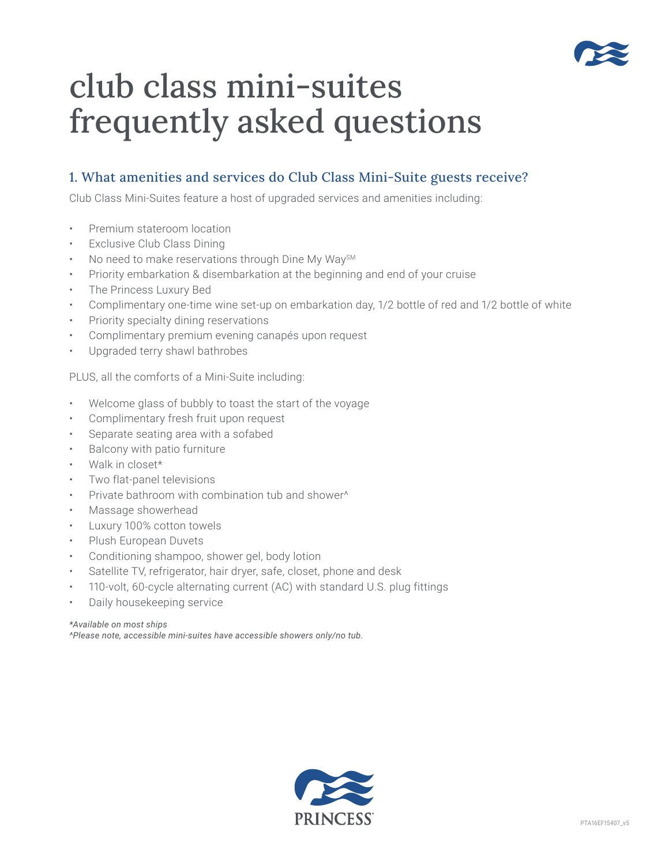

# club class mini-suites frequently asked questions

## 1. What amenities and services do Club Class Mini-Suite guests receive?

Club Class Mini-Suites feature a host of upgraded services and amenities including:

- Premium stateroom location
- **Exclusive Club Class Dining**
- No need to make reservations through Dine My Way<sup>SM</sup>
- Priority embarkation & disembarkation at the beginning and end of your cruise
- The Princess Luxury Bed
- Complimentary one-time wine set-up on embarkation day, 1/2 bottle of red and 1/2 bottle of white
- Priority specialty dining reservations
- Complimentary premium evening canapés upon request
- Upgraded terry shawl bathrobes

PLUS, all the comforts of a Mini-Suite including:

- Welcome glass of bubbly to toast the start of the voyage
- Complimentary fresh fruit upon request
- Separate seating area with a sofabed
- Balcony with patio furniture
- Walk in closet\*
- Two flat-panel televisions
- Private bathroom with combination tub and shower<sup>^</sup>
- Massage showerhead
- Luxury 100% cotton towels
- Plush European Duvets
- Conditioning shampoo, shower gel, body lotion
- Satellite TV, refrigerator, hair dryer, safe, closet, phone and desk
- 110-volt, 60-cycle alternating current (AC) with standard U.S. plug fittings
- Daily housekeeping service

*\*Available on most ships ^Please note, accessible mini-suites have accessible showers only/no tub.*